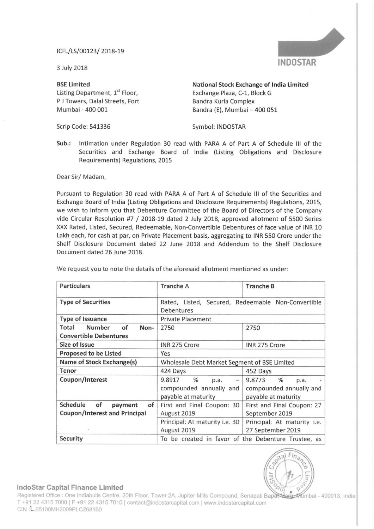## lCFL/LS/00123/ 2018—19

<sup>3</sup> July 2018

BSE Limited<br>
Listing Department, 1<sup>st</sup> Floor,<br>
Exchange Plaza, C-1, Block G<br>
Exchange Plaza, C-1, Block G P J Towers, Dalal Streets, Fort<br>Mumbai - 400 001

Scrip Code: 541336 Symbol: INDOSTAR

Exchange Plaza, C-1, Block G<br>Bandra Kurla Complex Bandra (E), Mumbai - 400 051

Sub.: Intimation under Regulation 30 read with PARA A of Part <sup>A</sup> of Schedule III of the Securities and Exchange Board of India (Listing Obligations and Disclosure Requirements) Regulations, 2015

Dear Sir/ Madam,

Pursuant to Regulation 30 read with PARA <sup>A</sup> of Part <sup>A</sup> of Schedule III of the Securities and Exchange Board of India (Listing Obligations and Disclosure Requirements) Regulations, 2015, we wish to inform you that Debenture Committee of the Board of Directors of the Company vide Circular Resolution #7 / 2018-19 dated <sup>2</sup> July 2018, approved allotment of <sup>5500</sup> Series XXX Rated, Listed, Secured, Redeemable, Non-Convertible Debentures of face value of INR 10 Lakh each, for cash at par, on Private Placement basis, aggregating to INR 550 Crore under the Shelf Disclosure Document dated 22 June 2018 and Addendum to the Shelf Disclosure Document dated 26 June 2018.

| <b>Particulars</b>                                                      | <b>Tranche A</b>                                                      | <b>Tranche B</b>                                                      |
|-------------------------------------------------------------------------|-----------------------------------------------------------------------|-----------------------------------------------------------------------|
| <b>Type of Securities</b>                                               | Rated, Listed, Secured, Redeemable Non-Convertible<br>Debentures      |                                                                       |
| <b>Type of Issuance</b>                                                 | <b>Private Placement</b>                                              |                                                                       |
| <b>Number</b><br>of<br>Total<br>Non-<br><b>Convertible Debentures</b>   | 2750                                                                  | 2750                                                                  |
| Size of Issue                                                           | INR 275 Crore                                                         | INR 275 Crore                                                         |
| <b>Proposed to be Listed</b>                                            | Yes                                                                   |                                                                       |
| Name of Stock Exchange(s)                                               | Wholesale Debt Market Segment of BSE Limited                          |                                                                       |
| Tenor                                                                   | 424 Days                                                              | 452 Days                                                              |
| Coupon/Interest                                                         | 9.8917<br>%<br>p.a.<br>compounded annually and<br>payable at maturity | %<br>9.8773<br>p.a.<br>compounded annually and<br>payable at maturity |
| Schedule<br>of<br>of<br>payment<br><b>Coupon/Interest and Principal</b> | First and Final Coupon: 30<br>August 2019                             | First and Final Coupon: 27<br>September 2019                          |
|                                                                         | Principal: At maturity i.e. 30<br>August 2019                         | Principal: At maturity i.e.<br>27 September 2019                      |
| Security                                                                | To be created in favor of the Debenture Trustee, as                   |                                                                       |

We request you to note the details of the aforesaid allotment mentioned as under:



## lndoStar Capital Finance Limited

T +91 22 4315 7000 | F +91 22 4315 7010 | contact@indostarcapital.com | www.indostarcapital.com CIN: L65100MH2009PLC268160 Registered Office : One Indiabulls Centre, 20th Floor, Tower 2A, Jupiter Mills Compound, Senapati Bapar Marg Mumbai - 400013, India